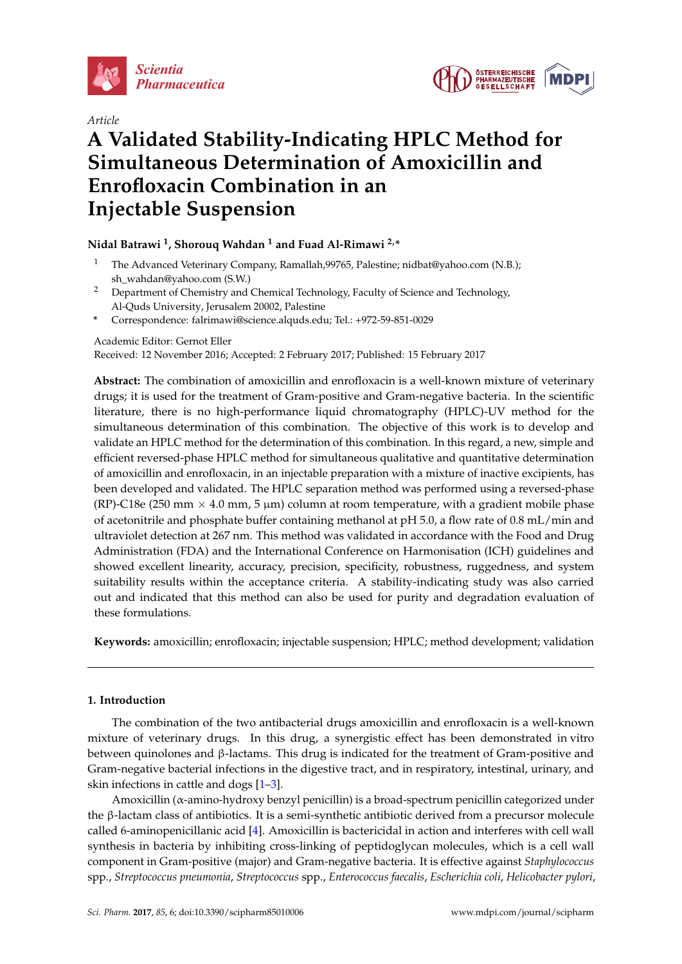

*Article*



# **A Validated Stability-Indicating HPLC Method for Simultaneous Determination of Amoxicillin and Enrofloxacin Combination in an Injectable Suspension**

# **Nidal Batrawi <sup>1</sup> , Shorouq Wahdan <sup>1</sup> and Fuad Al-Rimawi 2,\***

- <sup>1</sup> The Advanced Veterinary Company, Ramallah,99765, Palestine; nidbat@yahoo.com (N.B.); sh\_wahdan@yahoo.com (S.W.)
- <sup>2</sup> Department of Chemistry and Chemical Technology, Faculty of Science and Technology, Al-Quds University, Jerusalem 20002, Palestine
- **\*** Correspondence: falrimawi@science.alquds.edu; Tel.: +972-59-851-0029

Academic Editor: Gernot Eller

Received: 12 November 2016; Accepted: 2 February 2017; Published: 15 February 2017

**Abstract:** The combination of amoxicillin and enrofloxacin is a well-known mixture of veterinary drugs; it is used for the treatment of Gram-positive and Gram-negative bacteria. In the scientific literature, there is no high-performance liquid chromatography (HPLC)-UV method for the simultaneous determination of this combination. The objective of this work is to develop and validate an HPLC method for the determination of this combination. In this regard, a new, simple and efficient reversed-phase HPLC method for simultaneous qualitative and quantitative determination of amoxicillin and enrofloxacin, in an injectable preparation with a mixture of inactive excipients, has been developed and validated. The HPLC separation method was performed using a reversed-phase (RP)-C18e (250 mm  $\times$  4.0 mm, 5 µm) column at room temperature, with a gradient mobile phase of acetonitrile and phosphate buffer containing methanol at pH 5.0, a flow rate of 0.8 mL/min and ultraviolet detection at 267 nm. This method was validated in accordance with the Food and Drug Administration (FDA) and the International Conference on Harmonisation (ICH) guidelines and showed excellent linearity, accuracy, precision, specificity, robustness, ruggedness, and system suitability results within the acceptance criteria. A stability-indicating study was also carried out and indicated that this method can also be used for purity and degradation evaluation of these formulations.

**Keywords:** amoxicillin; enrofloxacin; injectable suspension; HPLC; method development; validation

# **1. Introduction**

The combination of the two antibacterial drugs amoxicillin and enrofloxacin is a well-known mixture of veterinary drugs. In this drug, a synergistic effect has been demonstrated in vitro between quinolones and β-lactams. This drug is indicated for the treatment of Gram-positive and Gram-negative bacterial infections in the digestive tract, and in respiratory, intestinal, urinary, and skin infections in cattle and dogs [\[1](#page-6-0)[–3\]](#page-7-0).

Amoxicillin (α-amino-hydroxy benzyl penicillin) is a broad-spectrum penicillin categorized under the β-lactam class of antibiotics. It is a semi-synthetic antibiotic derived from a precursor molecule called 6-aminopenicillanic acid [\[4\]](#page-7-1). Amoxicillin is bactericidal in action and interferes with cell wall synthesis in bacteria by inhibiting cross-linking of peptidoglycan molecules, which is a cell wall component in Gram-positive (major) and Gram-negative bacteria. It is effective against *Staphylococcus* spp., *Streptococcus pneumonia*, *Streptococcus* spp., *Enterococcus faecalis*, *Escherichia coli*, *Helicobacter pylori*,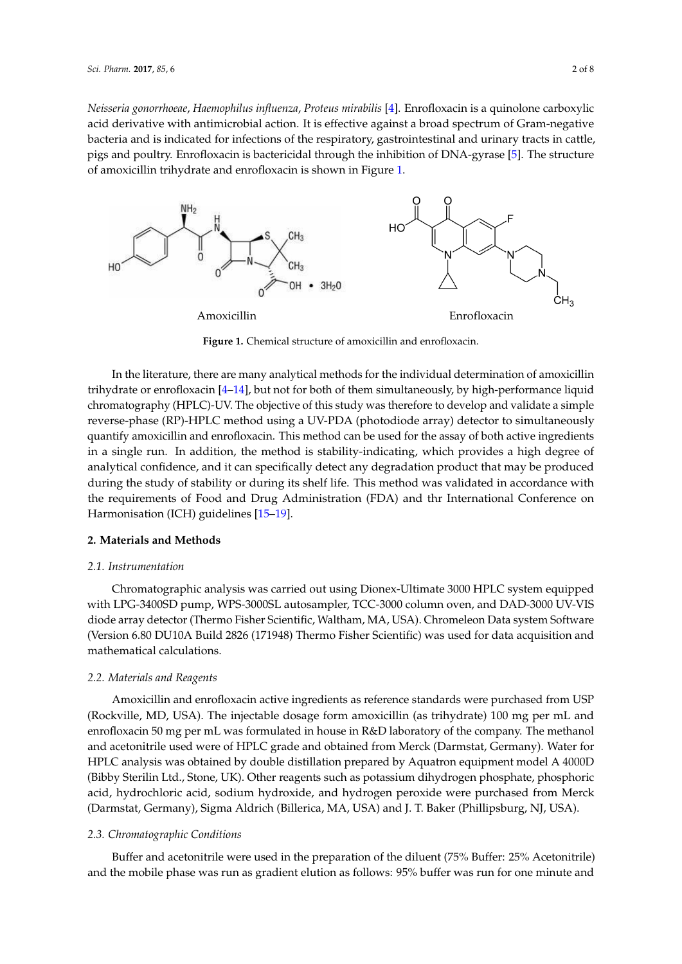Neisseria gonorrhoeae, Haemophilus influenza, Proteus mirabilis [\[4\]](#page-7-1). Enrofloxacin is a quinolone carboxylic acid derivative with antimicrobial action. It is effective against a broad spectrum of Gram-negative bacteria and is indicated for infections of the respiratory, gastrointestinal and urinary tracts in cattle, pigs and poultry. Enrofloxacin is bactericidal through the inhibition of DNA-gyrase [\[5\]](#page-7-2). The structure of amoxicillin trihydrate and enrofloxacin is shown in Figure [1.](#page-1-0) in Figure 1.

<span id="page-1-0"></span>

**Figure 1.** Chemical structure of amoxicillin and enrofloxacin. **Figure 1.** Chemical structure of amoxicillin and enrofloxacin.

In the literature, there are many analytical methods for the individual determination of In the literature, there are many analytical methods for the individual determination of amoxicillin amoxicillin trihydrate or enrofloxacin [4–14], but not for both of them simultaneously, by trihydrate or enrofloxacin [\[4–](#page-7-1)[14\]](#page-7-3), but not for both of them simultaneously, by high-performance liquid high-performance liquid chromatography (HPLC)-UV. The objective of this study was therefore to chromatography (HPLC)-UV. The objective of this study was therefore to develop and validate a simple develop and validate a simple reverse-phase (RP)-HPLC method using a UV-PDA (photodiode reverse-phase (RP)-HPLC method using a UV-PDA (photodiode array) detector to simultaneously array) detector to simultaneously quantify amoxicillin and enrofloxacin. This method can be used quantify amoxicillin and enrofloxacin. This method can be used for the assay of both active ingredients for the assay of both active ingredients in a single run. In addition, the method is stability-indicating, in a single run. In addition, the method is stability-indicating, which provides a high degree of which provides a high degree of analytical confidence, and it can specifically detect any degradation analytical confidence, and it can specifically detect any degradation product that may be produced during the study of stability or during its shelf life. This method was validated in accordance with validated in accordance with the requirements of Food and Drug Administration (FDA) and thr the requirements of Food and Drug Administration (FDA) and thr International Conference on<br>Harmonisation (ICH) widelines [15–19] Harmonisation (ICH) guidelines [\[15](#page-7-4)[–19\]](#page-7-5).

# **2. Materials and Methods 2. Materials and Methods**

# *2.1. Instrumentation 2.1. Instrumentation*

Chromatographic analysis was carried out using Dionex-Ultimate 3000 HPLC system equipped Chromatographic analysis was carried out using Dionex-Ultimate 3000 HPLC system equipped with LPG-3400SD pump, WPS-3000SL autosampler, TCC-3000 column oven, and DAD-3000 UV-VIS with LPG-3400SD pump, WPS-3000SL autosampler, TCC-3000 column oven, and DAD-3000 UV-VIS diode array detector (Thermo Fisher Scientific, Waltham, MA, USA). Chromeleon Data system diode array detector (Thermo Fisher Scientific, Waltham, MA, USA). Chromeleon Data system Software (Version 6.80 DU10A Build 2826 (171948) Thermo Fisher Scientific) was used for data acquisition and mathematical calculations.

#### *2.2. Materials and Reagents 2.2. Materials and Reagents*

Amoxicillin and enrofloxacin active ingredients as reference standards were purchased from Amoxicillin and enrofloxacin active ingredients as reference standards were purchased from USP (Rockville, MD, USA). The injectable dosage form amoxicillin (as trihydrate) 100 mg per mL and enrofloxacin 50 mg per mL was formulated in house in R&D laboratory of the company. The methanol and acetonitrile used were of HPLC grade and obtained from Merck (Darmstat, Germany). Water for HPLC analysis was obtained by double distillation prepared by Aquatron equipment model A 4000D (Bibby Sterilin Ltd., Stone, UK). Other reagents such as potassium dihydrogen phosphate, phosphoric acid, hydrochloric acid, sodium hydroxide, and hydrogen peroxide were purchased from Merck (Darmstat, Germany), Sigma Aldrich (Billerica, MA, USA) and J. T. Baker (Phillipsburg, NJ, USA).

#### <span id="page-1-1"></span>(Phillipsburg, NJ, USA). *2.3. Chromatographic Conditions*

Buffer and acetonitrile were used in the preparation of the diluent (75% Buffer: 25% Acetonitrile) and the mobile phase was run as gradient elution as follows: 95% buffer was run for one minute and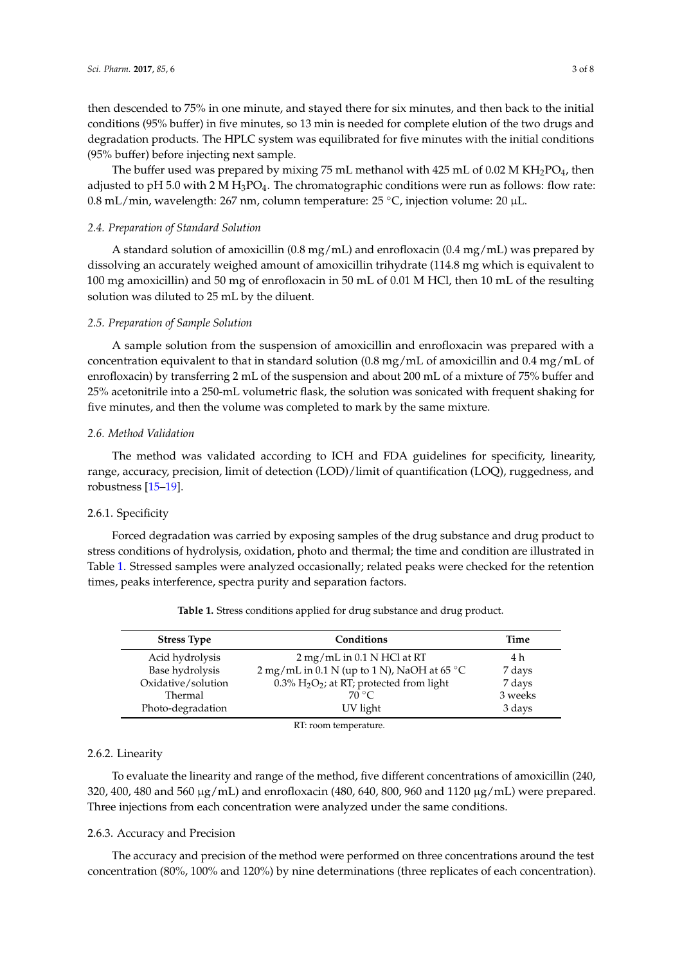then descended to 75% in one minute, and stayed there for six minutes, and then back to the initial conditions (95% buffer) in five minutes, so 13 min is needed for complete elution of the two drugs and degradation products. The HPLC system was equilibrated for five minutes with the initial conditions (95% buffer) before injecting next sample.

The buffer used was prepared by mixing 75 mL methanol with 425 mL of 0.02 M KH<sub>2</sub>PO<sub>4</sub>, then adjusted to pH 5.0 with 2 M H<sub>3</sub>PO<sub>4</sub>. The chromatographic conditions were run as follows: flow rate: 0.8 mL/min, wavelength: 267 nm, column temperature: 25 ◦C, injection volume: 20 µL.

#### *2.4. Preparation of Standard Solution*

A standard solution of amoxicillin (0.8 mg/mL) and enrofloxacin (0.4 mg/mL) was prepared by dissolving an accurately weighed amount of amoxicillin trihydrate (114.8 mg which is equivalent to 100 mg amoxicillin) and 50 mg of enrofloxacin in 50 mL of 0.01 M HCl, then 10 mL of the resulting solution was diluted to 25 mL by the diluent.

### *2.5. Preparation of Sample Solution*

A sample solution from the suspension of amoxicillin and enrofloxacin was prepared with a concentration equivalent to that in standard solution (0.8 mg/mL of amoxicillin and 0.4 mg/mL of enrofloxacin) by transferring 2 mL of the suspension and about 200 mL of a mixture of 75% buffer and 25% acetonitrile into a 250-mL volumetric flask, the solution was sonicated with frequent shaking for five minutes, and then the volume was completed to mark by the same mixture.

#### *2.6. Method Validation*

The method was validated according to ICH and FDA guidelines for specificity, linearity, range, accuracy, precision, limit of detection (LOD)/limit of quantification (LOQ), ruggedness, and robustness [\[15–](#page-7-4)[19\]](#page-7-5).

# <span id="page-2-1"></span>2.6.1. Specificity

Forced degradation was carried by exposing samples of the drug substance and drug product to stress conditions of hydrolysis, oxidation, photo and thermal; the time and condition are illustrated in Table [1.](#page-2-0) Stressed samples were analyzed occasionally; related peaks were checked for the retention times, peaks interference, spectra purity and separation factors.

<span id="page-2-0"></span>

| <b>Stress Type</b> | Conditions                                            | Time    |
|--------------------|-------------------------------------------------------|---------|
| Acid hydrolysis    | $2$ mg/mL in 0.1 N HCl at RT                          | 4 h     |
| Base hydrolysis    | 2 mg/mL in 0.1 N (up to 1 N), NaOH at 65 $^{\circ}$ C | 7 days  |
| Oxidative/solution | 0.3% $H_2O_2$ ; at RT; protected from light           | 7 days  |
| Thermal            | $70^{\circ}$ C                                        | 3 weeks |
| Photo-degradation  | UV light                                              | 3 days  |

**Table 1.** Stress conditions applied for drug substance and drug product.

RT: room temperature.

#### 2.6.2. Linearity

To evaluate the linearity and range of the method, five different concentrations of amoxicillin (240, 320, 400, 480 and 560 µg/mL) and enrofloxacin (480, 640, 800, 960 and 1120 µg/mL) were prepared. Three injections from each concentration were analyzed under the same conditions.

#### 2.6.3. Accuracy and Precision

The accuracy and precision of the method were performed on three concentrations around the test concentration (80%, 100% and 120%) by nine determinations (three replicates of each concentration).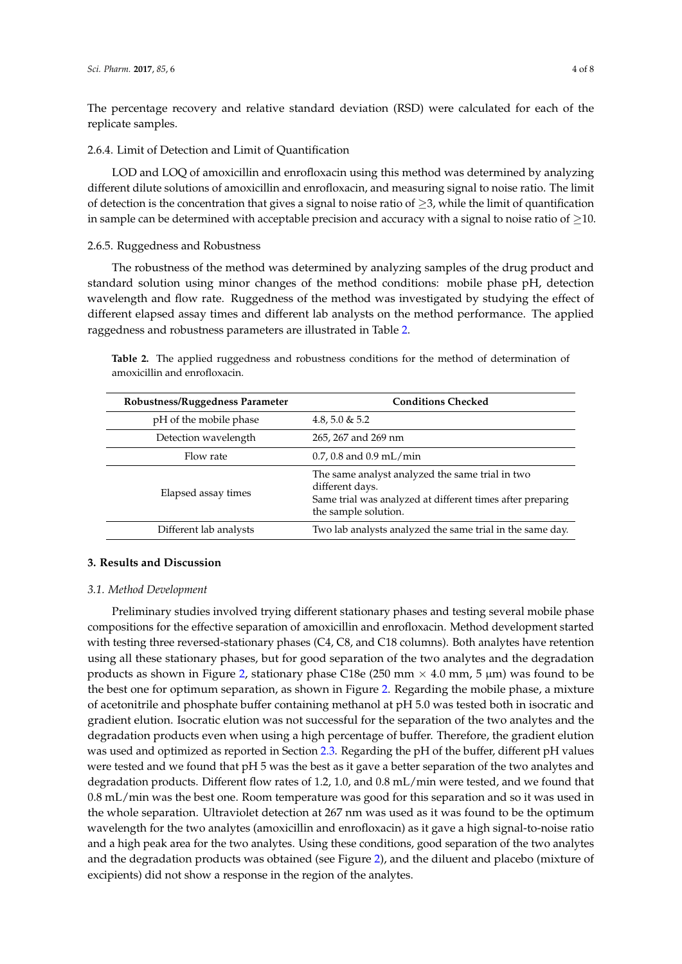The percentage recovery and relative standard deviation (RSD) were calculated for each of the replicate samples.

2.6.4. Limit of Detection and Limit of Quantification

LOD and LOQ of amoxicillin and enrofloxacin using this method was determined by analyzing different dilute solutions of amoxicillin and enrofloxacin, and measuring signal to noise ratio. The limit of detection is the concentration that gives a signal to noise ratio of  $\geq$ 3, while the limit of quantification in sample can be determined with acceptable precision and accuracy with a signal to noise ratio of  $\geq$ 10.

#### 2.6.5. Ruggedness and Robustness

The robustness of the method was determined by analyzing samples of the drug product and standard solution using minor changes of the method conditions: mobile phase pH, detection wavelength and flow rate. Ruggedness of the method was investigated by studying the effect of different elapsed assay times and different lab analysts on the method performance. The applied raggedness and robustness parameters are illustrated in Table [2.](#page-3-0)

<span id="page-3-0"></span>**Table 2.** The applied ruggedness and robustness conditions for the method of determination of amoxicillin and enrofloxacin.

| Robustness/Ruggedness Parameter | <b>Conditions Checked</b>                                                                                                                                |  |  |  |
|---------------------------------|----------------------------------------------------------------------------------------------------------------------------------------------------------|--|--|--|
| pH of the mobile phase          | 4.8, 5.0 & 5.2                                                                                                                                           |  |  |  |
| Detection wavelength            | 265, 267 and 269 nm                                                                                                                                      |  |  |  |
| Flow rate                       | $0.7, 0.8$ and $0.9$ mL/min                                                                                                                              |  |  |  |
| Elapsed assay times             | The same analyst analyzed the same trial in two<br>different days.<br>Same trial was analyzed at different times after preparing<br>the sample solution. |  |  |  |
| Different lab analysts          | Two lab analysts analyzed the same trial in the same day.                                                                                                |  |  |  |

# **3. Results and Discussion**

#### *3.1. Method Development*

Preliminary studies involved trying different stationary phases and testing several mobile phase compositions for the effective separation of amoxicillin and enrofloxacin. Method development started with testing three reversed-stationary phases (C4, C8, and C18 columns). Both analytes have retention using all these stationary phases, but for good separation of the two analytes and the degradation products as shown in Figure [2,](#page-4-0) stationary phase C18e (250 mm  $\times$  4.0 mm, 5 µm) was found to be the best one for optimum separation, as shown in Figure [2.](#page-4-0) Regarding the mobile phase, a mixture of acetonitrile and phosphate buffer containing methanol at pH 5.0 was tested both in isocratic and gradient elution. Isocratic elution was not successful for the separation of the two analytes and the degradation products even when using a high percentage of buffer. Therefore, the gradient elution was used and optimized as reported in Section [2.3.](#page-1-1) Regarding the pH of the buffer, different pH values were tested and we found that pH 5 was the best as it gave a better separation of the two analytes and degradation products. Different flow rates of 1.2, 1.0, and 0.8 mL/min were tested, and we found that 0.8 mL/min was the best one. Room temperature was good for this separation and so it was used in the whole separation. Ultraviolet detection at 267 nm was used as it was found to be the optimum wavelength for the two analytes (amoxicillin and enrofloxacin) as it gave a high signal-to-noise ratio and a high peak area for the two analytes. Using these conditions, good separation of the two analytes and the degradation products was obtained (see Figure [2\)](#page-4-0), and the diluent and placebo (mixture of excipients) did not show a response in the region of the analytes.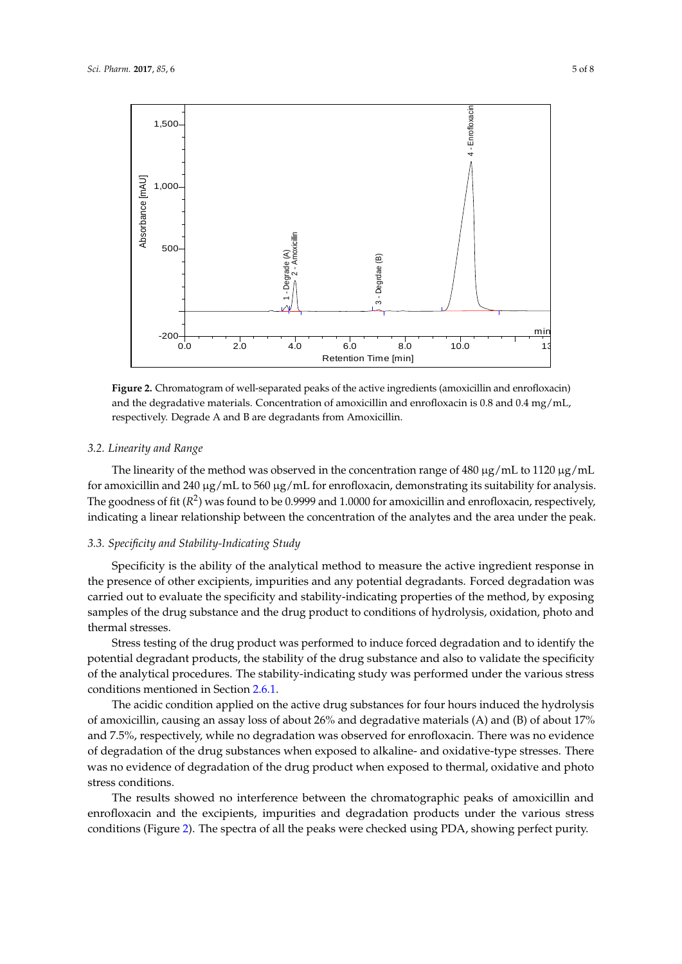<span id="page-4-0"></span>

**Figure 2.** Chromatogram of well-separated peaks of the active ingredients (amoxicillin and **Figure 2.** Chromatogram of well-separated peaks of the active ingredients (amoxicillin and enrofloxacin) and the degradative materials. Concentration of amoxicillin and enrofloxacin is  $0.8$  and  $0.4\,\mathrm{mg/mL}$ , 0.4 mg/mL, respectively. Degrade A and B are degradants from Amoxicillin. respectively. Degrade A and B are degradants from Amoxicillin.

# *3.2. Linearity and Range 3.2. Linearity and Range*

The linearity of the method was observed in the concentration range of 480  $\mu$ g/mL to 1120  $\mu$ g/mL for amoxicillin and 240  $\mu$ g/mL to 560  $\mu$ g/mL for enrofloxacin, demonstrating its suitability for analysis. The goodness of fit ( $R^2$ ) was found to be 0.9999 and 1.0000 for amoxicillin and enrofloxacin, respectively, indicating a linear relationship between the concentration of the analytes and the area under the peak.

#### and the area under the peak. *3.3. Specificity and Stability-Indicating Study*

Specificity is the ability of the analytical method to measure the active ingredient response in the presence of other excipients, impurities and any potential degradants. Forced degradation was carried out to evaluate the specificity and stability-indicating properties of the method, by exposing samples of the drug substance and the drug product to conditions of hydrolysis, oxidation, photo and samples of the drug substance and the drug product to conditions of hydrolysis, original photos of hydrolysis, o thermal stresses.

Stress testing of the drug product was performed to induce forced degradation and to identify the potential degradant products, the stability of the drug substance and also to validate the specificity of the analytical procedures. The stability-indicating study was performed under the various stress conditions mentioned in Section [2.6.1.](#page-2-1)

The acidic condition applied on the active drug substances for four hours induced the hydrolysis of amoxicillin, causing an assay loss of about 26% and degradative materials (A) and (B) of about 17% and 7.5%, respectively, while no degradation was observed for enrofloxacin. There was no evidence of degradation of the drug substances when exposed to alkaline- and oxidative-type stresses. There was no evidence of degradation of the drug product when exposed to thermal, oxidative and photo stress conditions. stress conditions.

The results showed no interference between the chromatographic peaks of amoxicillin and enrofloxacin and the excipients, impurities and degradation products under the various stress conditions (Figure [2\)](#page-4-0). The spectra of all the peaks were checked using PDA, showing perfect purity.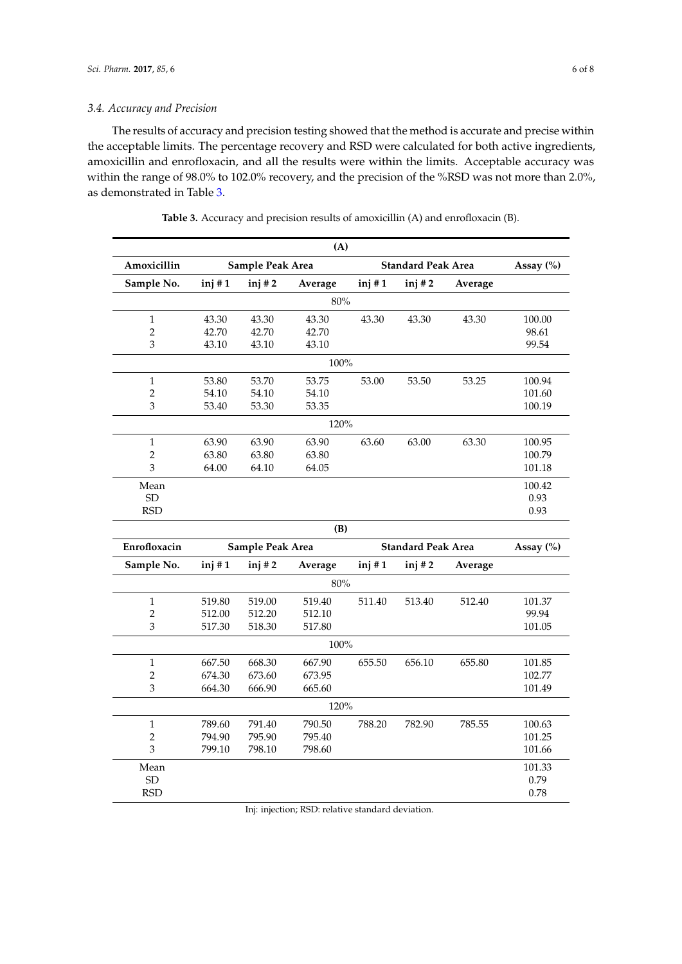## *3.4. Accuracy and Precision*

The results of accuracy and precision testing showed that the method is accurate and precise within the acceptable limits. The percentage recovery and RSD were calculated for both active ingredients, amoxicillin and enrofloxacin, and all the results were within the limits. Acceptable accuracy was within the range of 98.0% to 102.0% recovery, and the precision of the %RSD was not more than 2.0%, as demonstrated in Table [3.](#page-5-0)

<span id="page-5-0"></span>

| (A)            |                  |          |         |                           |          |         |           |  |  |  |
|----------------|------------------|----------|---------|---------------------------|----------|---------|-----------|--|--|--|
| Amoxicillin    | Sample Peak Area |          |         | <b>Standard Peak Area</b> |          |         | Assay (%) |  |  |  |
| Sample No.     | inj#1            | inj#2    | Average | inj#1                     | $inj$ #2 | Average |           |  |  |  |
| 80%            |                  |          |         |                           |          |         |           |  |  |  |
| $\mathbf{1}$   | 43.30            | 43.30    | 43.30   | 43.30                     | 43.30    | 43.30   | 100.00    |  |  |  |
| $\overline{2}$ | 42.70            | 42.70    | 42.70   |                           |          |         | 98.61     |  |  |  |
| 3              | 43.10            | 43.10    | 43.10   |                           |          |         | 99.54     |  |  |  |
| 100%           |                  |          |         |                           |          |         |           |  |  |  |
| $\mathbf{1}$   | 53.80            | 53.70    | 53.75   | 53.00                     | 53.50    | 53.25   | 100.94    |  |  |  |
| $\overline{c}$ | 54.10            | 54.10    | 54.10   |                           |          |         | 101.60    |  |  |  |
| 3              | 53.40            | 53.30    | 53.35   |                           |          |         | 100.19    |  |  |  |
| 120%           |                  |          |         |                           |          |         |           |  |  |  |
| $\,1$          | 63.90            | 63.90    | 63.90   | 63.60                     | 63.00    | 63.30   | 100.95    |  |  |  |
| $\overline{2}$ | 63.80            | 63.80    | 63.80   |                           |          |         | 100.79    |  |  |  |
| 3              | 64.00            | 64.10    | 64.05   |                           |          |         | 101.18    |  |  |  |
| Mean           |                  |          |         |                           |          |         | 100.42    |  |  |  |
| <b>SD</b>      |                  |          |         |                           |          |         | 0.93      |  |  |  |
| <b>RSD</b>     |                  |          |         |                           |          |         | 0.93      |  |  |  |
|                | (B)              |          |         |                           |          |         |           |  |  |  |
| Enrofloxacin   | Sample Peak Area |          |         | <b>Standard Peak Area</b> |          |         |           |  |  |  |
| Sample No.     | inj#1            | $inj$ #2 | Average | inj#1                     | $inj$ #2 | Average |           |  |  |  |
| 80%            |                  |          |         |                           |          |         |           |  |  |  |
| $\mathbf{1}$   | 519.80           | 519.00   | 519.40  | 511.40                    | 513.40   | 512.40  | 101.37    |  |  |  |
| $\overline{c}$ | 512.00           | 512.20   | 512.10  |                           |          |         | 99.94     |  |  |  |
| 3              | 517.30           | 518.30   | 517.80  |                           |          |         | 101.05    |  |  |  |
| 100%           |                  |          |         |                           |          |         |           |  |  |  |
| $\mathbf{1}$   | 667.50           | 668.30   | 667.90  | 655.50                    | 656.10   | 655.80  | 101.85    |  |  |  |
| $\overline{2}$ | 674.30           | 673.60   | 673.95  |                           |          |         | 102.77    |  |  |  |
| 3              | 664.30           | 666.90   | 665.60  |                           |          |         | 101.49    |  |  |  |
| 120%           |                  |          |         |                           |          |         |           |  |  |  |
| $\mathbf{1}$   | 789.60           | 791.40   | 790.50  | 788.20                    | 782.90   | 785.55  | 100.63    |  |  |  |
| $\overline{c}$ | 794.90           | 795.90   | 795.40  |                           |          |         | 101.25    |  |  |  |
| 3              | 799.10           | 798.10   | 798.60  |                           |          |         | 101.66    |  |  |  |
| Mean           |                  |          |         |                           |          |         | 101.33    |  |  |  |
| <b>SD</b>      |                  |          |         |                           |          |         | 0.79      |  |  |  |
| <b>RSD</b>     |                  |          |         |                           |          |         | 0.78      |  |  |  |

**Table 3.** Accuracy and precision results of amoxicillin (A) and enrofloxacin (B).

Inj: injection; RSD: relative standard deviation.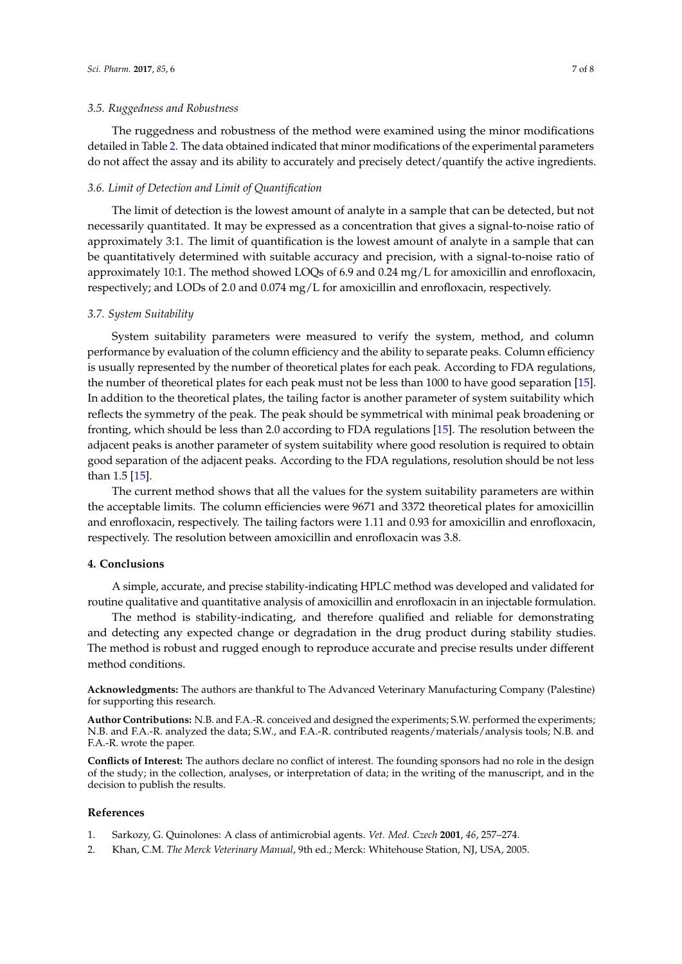#### *3.5. Ruggedness and Robustness*

The ruggedness and robustness of the method were examined using the minor modifications detailed in Table [2.](#page-3-0) The data obtained indicated that minor modifications of the experimental parameters do not affect the assay and its ability to accurately and precisely detect/quantify the active ingredients.

#### *3.6. Limit of Detection and Limit of Quantification*

The limit of detection is the lowest amount of analyte in a sample that can be detected, but not necessarily quantitated. It may be expressed as a concentration that gives a signal-to-noise ratio of approximately 3:1. The limit of quantification is the lowest amount of analyte in a sample that can be quantitatively determined with suitable accuracy and precision, with a signal-to-noise ratio of approximately 10:1. The method showed LOQs of 6.9 and 0.24 mg/L for amoxicillin and enrofloxacin, respectively; and LODs of 2.0 and 0.074 mg/L for amoxicillin and enrofloxacin, respectively.

#### *3.7. System Suitability*

System suitability parameters were measured to verify the system, method, and column performance by evaluation of the column efficiency and the ability to separate peaks. Column efficiency is usually represented by the number of theoretical plates for each peak. According to FDA regulations, the number of theoretical plates for each peak must not be less than 1000 to have good separation [\[15\]](#page-7-4). In addition to the theoretical plates, the tailing factor is another parameter of system suitability which reflects the symmetry of the peak. The peak should be symmetrical with minimal peak broadening or fronting, which should be less than 2.0 according to FDA regulations [\[15\]](#page-7-4). The resolution between the adjacent peaks is another parameter of system suitability where good resolution is required to obtain good separation of the adjacent peaks. According to the FDA regulations, resolution should be not less than 1.5 [\[15\]](#page-7-4).

The current method shows that all the values for the system suitability parameters are within the acceptable limits. The column efficiencies were 9671 and 3372 theoretical plates for amoxicillin and enrofloxacin, respectively. The tailing factors were 1.11 and 0.93 for amoxicillin and enrofloxacin, respectively. The resolution between amoxicillin and enrofloxacin was 3.8.

#### **4. Conclusions**

A simple, accurate, and precise stability-indicating HPLC method was developed and validated for routine qualitative and quantitative analysis of amoxicillin and enrofloxacin in an injectable formulation.

The method is stability-indicating, and therefore qualified and reliable for demonstrating and detecting any expected change or degradation in the drug product during stability studies. The method is robust and rugged enough to reproduce accurate and precise results under different method conditions.

**Acknowledgments:** The authors are thankful to The Advanced Veterinary Manufacturing Company (Palestine) for supporting this research.

**Author Contributions:** N.B. and F.A.-R. conceived and designed the experiments; S.W. performed the experiments; N.B. and F.A.-R. analyzed the data; S.W., and F.A.-R. contributed reagents/materials/analysis tools; N.B. and F.A.-R. wrote the paper.

**Conflicts of Interest:** The authors declare no conflict of interest. The founding sponsors had no role in the design of the study; in the collection, analyses, or interpretation of data; in the writing of the manuscript, and in the decision to publish the results.

#### **References**

- <span id="page-6-0"></span>1. Sarkozy, G. Quinolones: A class of antimicrobial agents. *Vet. Med. Czech* **2001**, *46*, 257–274.
- 2. Khan, C.M. *The Merck Veterinary Manual*, 9th ed.; Merck: Whitehouse Station, NJ, USA, 2005.